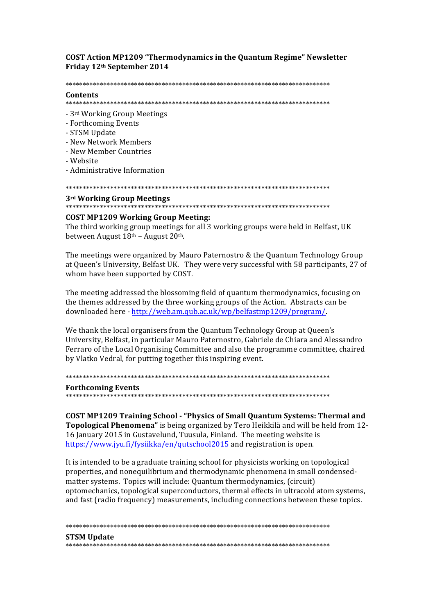# **COST Action MP1209 "Thermodynamics in the Quantum Regime" Newsletter** Friday 12th September 2014

### 

# Contents

- 3rd Working Group Meetings
- Forthcoming Events
- STSM Update
- New Network Members
- New Member Countries
- Website
- Administrative Information

### 3rd Working Group Meetings

# **COST MP1209 Working Group Meeting:**

The third working group meetings for all 3 working groups were held in Belfast, UK between August 18th - August 20th.

The meetings were organized by Mauro Paternostro & the Quantum Technology Group at Queen's University, Belfast UK. They were very successful with 58 participants, 27 of whom have been supported by COST.

The meeting addressed the blossoming field of quantum thermodynamics, focusing on the themes addressed by the three working groups of the Action. Abstracts can be downloaded here - http://web.am.qub.ac.uk/wp/belfastmp1209/program/.

We thank the local organisers from the Quantum Technology Group at Queen's University, Belfast, in particular Mauro Paternostro, Gabriele de Chiara and Alessandro Ferraro of the Local Organising Committee and also the programme committee, chaired by Vlatko Vedral, for putting together this inspiring event.

#### 

#### **Forthcoming Events**

**COST MP1209 Training School - "Physics of Small Quantum Systems: Thermal and** Topological Phenomena" is being organized by Tero Heikkilä and will be held from 12-16 January 2015 in Gustavelund, Tuusula, Finland. The meeting website is https://www.jyu.fi/fysiikka/en/qutschool2015 and registration is open.

It is intended to be a graduate training school for physicists working on topological properties, and nonequilibrium and thermodynamic phenomena in small condensedmatter systems. Topics will include: Quantum thermodynamics, (circuit) optomechanics, topological superconductors, thermal effects in ultracold atom systems, and fast (radio frequency) measurements, including connections between these topics.

**STSM Update**